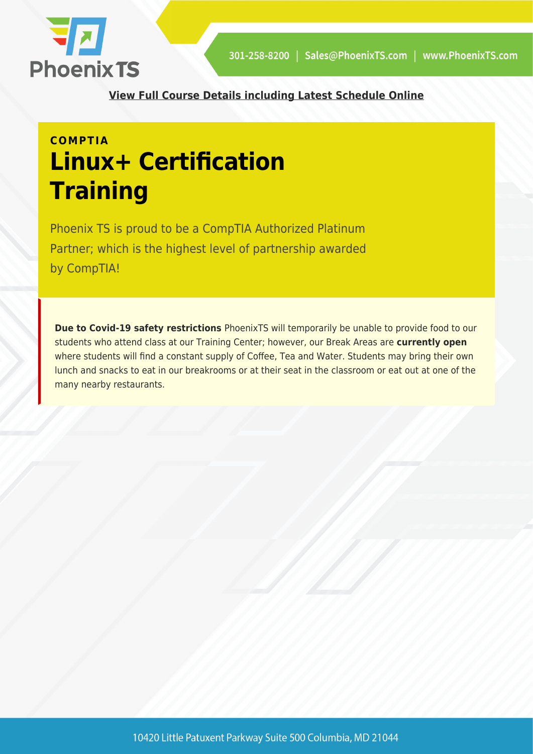

**[View Full Course Details including Latest Schedule Online](https://phoenixts.com/training-courses/comptia-linux-plus-certification-training/)**

# **COMPTIA Linux+ Certification Training**

Phoenix TS is proud to be a CompTIA Authorized Platinum Partner; which is the highest level of partnership awarded by CompTIA!

**Due to Covid-19 safety restrictions** PhoenixTS will temporarily be unable to provide food to our students who attend class at our Training Center; however, our Break Areas are **currently open** where students will find a constant supply of Coffee, Tea and Water. Students may bring their own lunch and snacks to eat in our breakrooms or at their seat in the classroom or eat out at one of the many nearby restaurants.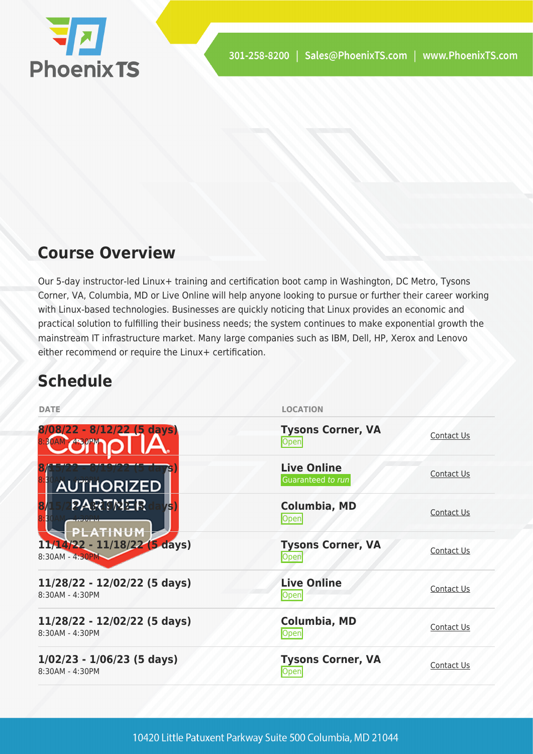

# **Course Overview**

Our 5-day instructor-led Linux+ training and certification boot camp in Washington, DC Metro, Tysons Corner, VA, Columbia, MD or Live Online will help anyone looking to pursue or further their career working with Linux-based technologies. Businesses are quickly noticing that Linux provides an economic and practical solution to fulfilling their business needs; the system continues to make exponential growth the mainstream IT infrastructure market. Many large companies such as IBM, Dell, HP, Xerox and Lenovo either recommend or require the Linux+ certification.

# **Schedule**

| <b>DATE</b>                                          | <b>LOCATION</b>                         |                   |
|------------------------------------------------------|-----------------------------------------|-------------------|
| $8/08/22 - 8/12/22$ (5 days)<br><b>BOAM - 4.30PM</b> | <b>Tysons Corner, VA</b><br>Open        | Contact Us        |
| ð<br><b>AUTHORIZED</b>                               | <b>Live Online</b><br>Guaranteed to run | Contact Us        |
| <b>PARTNER</b><br><b>75</b><br>PLATINUM              | <b>Columbia, MD</b><br>Open             | Contact Us        |
| $11/14/22 - 11/18/22$ (5 days)<br>8:30AM - 4:30PM    | <b>Tysons Corner, VA</b><br>Open        | Contact Us        |
| 11/28/22 - 12/02/22 (5 days)<br>8:30AM - 4:30PM      | <b>Live Online</b><br>Open              | Contact Us        |
| 11/28/22 - 12/02/22 (5 days)<br>8:30AM - 4:30PM      | <b>Columbia, MD</b><br>Open             | <b>Contact Us</b> |
| $1/02/23 - 1/06/23$ (5 days)<br>8:30AM - 4:30PM      | <b>Tysons Corner, VA</b><br>Open        | Contact Us        |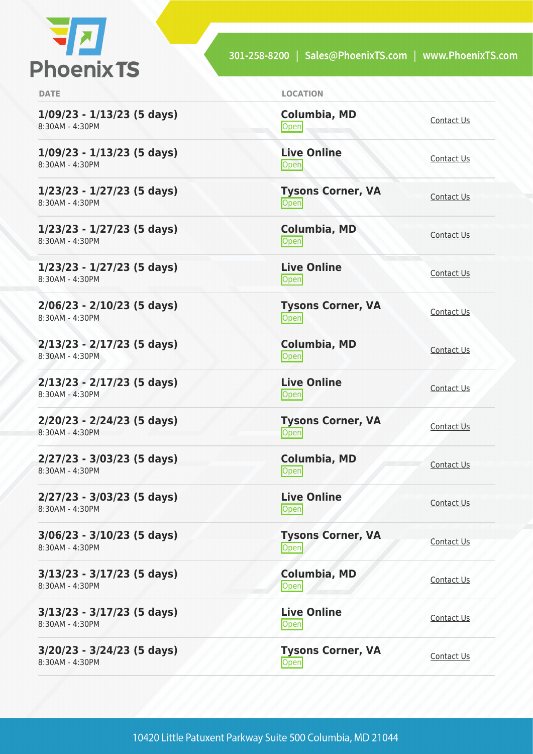

**1/09/23 - 1/13/23 (5 days)** 8:30AM - 4:30PM

**1/09/23 - 1/13/23 (5 days)** 8:30AM - 4:30PM

**1/23/23 - 1/27/23 (5 days)** 8:30AM - 4:30PM

**1/23/23 - 1/27/23 (5 days)** 8:30AM - 4:30PM

**1/23/23 - 1/27/23 (5 days)** 8:30AM - 4:30PM

**2/06/23 - 2/10/23 (5 days)** 8:30AM - 4:30PM

**2/13/23 - 2/17/23 (5 days)** 8:30AM - 4:30PM

**2/13/23 - 2/17/23 (5 days)** 8:30AM - 4:30PM

**2/20/23 - 2/24/23 (5 days)** 8:30AM - 4:30PM

**2/27/23 - 3/03/23 (5 days)** 8:30AM - 4:30PM

**2/27/23 - 3/03/23 (5 days)** 8:30AM - 4:30PM

**3/06/23 - 3/10/23 (5 days)** 8:30AM - 4:30PM

**3/13/23 - 3/17/23 (5 days)** 8:30AM - 4:30PM

**3/13/23 - 3/17/23 (5 days)** 8:30AM - 4:30PM

**3/20/23 - 3/24/23 (5 days)** 8:30AM - 4:30PM

**DATE LOCATION**

**Columbia, MD** [Contact Us](https://phoenixts.com/schedule/more-info/?class=28190)<br>Open

**Live Online** <u>[Contact Us](https://phoenixts.com/schedule/more-info/?class=28192)</u>

**Tysons Corner, VA Open** [Contact Us](https://phoenixts.com/schedule/more-info/?class=28189)

**Columbia, MD** [Contact Us](https://phoenixts.com/schedule/more-info/?class=28191)<br>Open

**Live Online** <u>[Contact Us](https://phoenixts.com/schedule/more-info/?class=28193)</u>

**Tysons Corner, VA Open** [Contact Us](https://phoenixts.com/schedule/more-info/?class=29263)

**Columbia, MD [Contact Us](https://phoenixts.com/schedule/more-info/?class=29285)**<br>Open

**Live Online** <u>[Contact Us](https://phoenixts.com/schedule/more-info/?class=29307)</u><br>
Open

**Tysons Corner, VA Open** [Contact Us](https://phoenixts.com/schedule/more-info/?class=29264)

**Columbia, MD** [Contact Us](https://phoenixts.com/schedule/more-info/?class=29286)<br>
Open Contact Us

**Live Online** <u>[Contact Us](https://phoenixts.com/schedule/more-info/?class=29308)</u>

**Tysons Corner, VA Open** [Contact Us](https://phoenixts.com/schedule/more-info/?class=29265)

**Columbia, MD** [Contact Us](https://phoenixts.com/schedule/more-info/?class=29287) **Live Online**

**[Contact Us](https://phoenixts.com/schedule/more-info/?class=29309)** 

**Tysons Corner, VA Open** [Contact Us](https://phoenixts.com/schedule/more-info/?class=29266) Contact Us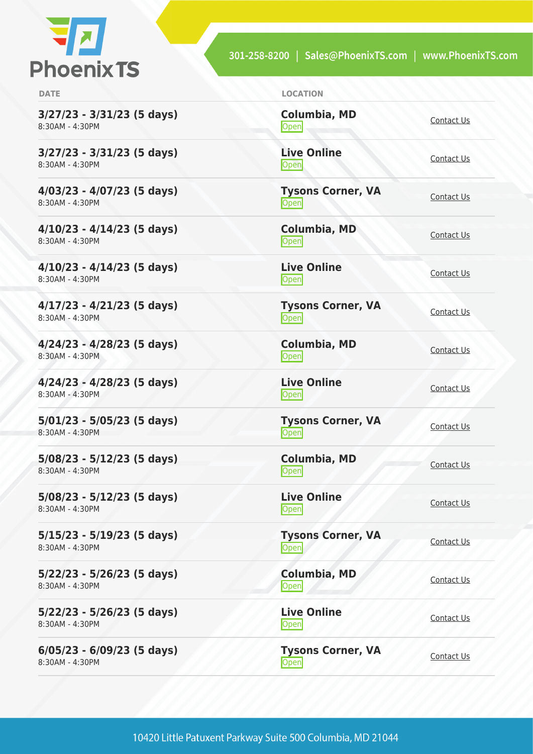

**3/27/23 - 3/31/23 (5 days)** 8:30AM - 4:30PM

**3/27/23 - 3/31/23 (5 days)** 8:30AM - 4:30PM

**4/03/23 - 4/07/23 (5 days)** 8:30AM - 4:30PM

**4/10/23 - 4/14/23 (5 days)** 8:30AM - 4:30PM

**4/10/23 - 4/14/23 (5 days)** 8:30AM - 4:30PM

**4/17/23 - 4/21/23 (5 days)** 8:30AM - 4:30PM

**4/24/23 - 4/28/23 (5 days)** 8:30AM - 4:30PM

**4/24/23 - 4/28/23 (5 days)** 8:30AM - 4:30PM

**5/01/23 - 5/05/23 (5 days)** 8:30AM - 4:30PM

**5/08/23 - 5/12/23 (5 days)** 8:30AM - 4:30PM

**5/08/23 - 5/12/23 (5 days)** 8:30AM - 4:30PM

**5/15/23 - 5/19/23 (5 days)** 8:30AM - 4:30PM

**5/22/23 - 5/26/23 (5 days)** 8:30AM - 4:30PM

**5/22/23 - 5/26/23 (5 days)** 8:30AM - 4:30PM

**6/05/23 - 6/09/23 (5 days)** 8:30AM - 4:30PM

**DATE LOCATION**

**Columbia, MD** [Contact Us](https://phoenixts.com/schedule/more-info/?class=29288)<br>Open

**Live Online** <u>[Contact Us](https://phoenixts.com/schedule/more-info/?class=29310)</u>

**Tysons Corner, VA Open** [Contact Us](https://phoenixts.com/schedule/more-info/?class=29267)

**Columbia, MD** [Contact Us](https://phoenixts.com/schedule/more-info/?class=29289)<br>Open

**Live Online** <u>[Contact Us](https://phoenixts.com/schedule/more-info/?class=29311)</u>

**Tysons Corner, VA Open** [Contact Us](https://phoenixts.com/schedule/more-info/?class=29268)

**Columbia, MD [Contact Us](https://phoenixts.com/schedule/more-info/?class=29290)**<br>Open

**Live Online** <u>[Contact Us](https://phoenixts.com/schedule/more-info/?class=29312)</u>

**Tysons Corner, VA Open** [Contact Us](https://phoenixts.com/schedule/more-info/?class=29269)

**Columbia, MD** [Contact Us](https://phoenixts.com/schedule/more-info/?class=29291)<br>
Open Contact Us

<u>[Contact Us](https://phoenixts.com/schedule/more-info/?class=29313)</u>

**Live Online**

**Tysons Corner, VA Open** [Contact Us](https://phoenixts.com/schedule/more-info/?class=29270)

**Columbia, MD** [Contact Us](https://phoenixts.com/schedule/more-info/?class=29292)

**Live Online [Contact Us](https://phoenixts.com/schedule/more-info/?class=29314)** 

**Tysons Corner, VA Open** [Contact Us](https://phoenixts.com/schedule/more-info/?class=29271) Contact Us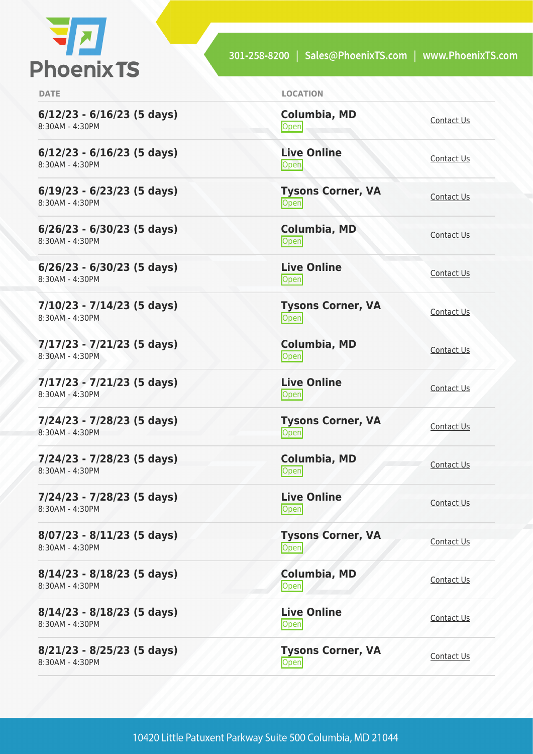

**6/12/23 - 6/16/23 (5 days)** 8:30AM - 4:30PM

**6/12/23 - 6/16/23 (5 days)** 8:30AM - 4:30PM

**6/19/23 - 6/23/23 (5 days)** 8:30AM - 4:30PM

**6/26/23 - 6/30/23 (5 days)** 8:30AM - 4:30PM

**6/26/23 - 6/30/23 (5 days)** 8:30AM - 4:30PM

**7/10/23 - 7/14/23 (5 days)** 8:30AM - 4:30PM

**7/17/23 - 7/21/23 (5 days)** 8:30AM - 4:30PM

**7/17/23 - 7/21/23 (5 days)** 8:30AM - 4:30PM

**7/24/23 - 7/28/23 (5 days)** 8:30AM - 4:30PM

**7/24/23 - 7/28/23 (5 days)** 8:30AM - 4:30PM

**7/24/23 - 7/28/23 (5 days)** 8:30AM - 4:30PM

**8/07/23 - 8/11/23 (5 days)** 8:30AM - 4:30PM

**8/14/23 - 8/18/23 (5 days)** 8:30AM - 4:30PM

**8/14/23 - 8/18/23 (5 days)** 8:30AM - 4:30PM

**8/21/23 - 8/25/23 (5 days)** 8:30AM - 4:30PM

**DATE LOCATION**

**Columbia, MD** [Contact Us](https://phoenixts.com/schedule/more-info/?class=29293)<br>Open

**Live Online** <u>[Contact Us](https://phoenixts.com/schedule/more-info/?class=29315)</u>

**Tysons Corner, VA Open** [Contact Us](https://phoenixts.com/schedule/more-info/?class=29272)

**Columbia, MD** [Contact Us](https://phoenixts.com/schedule/more-info/?class=29294)<br>Open

**Live Online** <u>[Contact Us](https://phoenixts.com/schedule/more-info/?class=29316)</u>

**Tysons Corner, VA Open** [Contact Us](https://phoenixts.com/schedule/more-info/?class=29273)

**Columbia, MD [Contact Us](https://phoenixts.com/schedule/more-info/?class=29295)**<br>Open

**Live Online** <u>[Contact Us](https://phoenixts.com/schedule/more-info/?class=29317)</u>

**Tysons Corner, VA Open** [Contact Us](https://phoenixts.com/schedule/more-info/?class=29274)

**Columbia, MD** [Contact Us](https://phoenixts.com/schedule/more-info/?class=29296)<br>
Open Contact Us

**Live Online** <u>[Contact Us](https://phoenixts.com/schedule/more-info/?class=29318)</u>

**Tysons Corner, VA Open** [Contact Us](https://phoenixts.com/schedule/more-info/?class=29275)

**Columbia, MD** [Contact Us](https://phoenixts.com/schedule/more-info/?class=29297) **Live Online**

**[Contact Us](https://phoenixts.com/schedule/more-info/?class=29319)** 

**Tysons Corner, VA Open** [Contact Us](https://phoenixts.com/schedule/more-info/?class=29276) Contact Us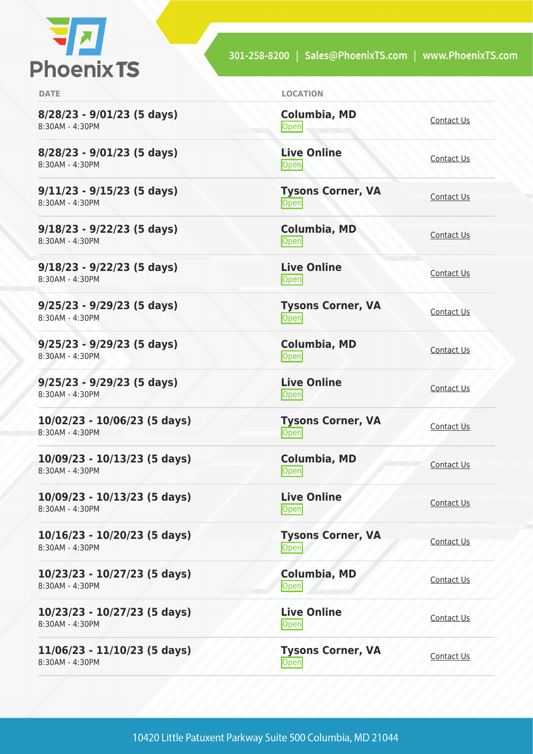

<u>[Contact Us](https://phoenixts.com/schedule/more-info/?class=29320)</u>

**8/28/23 - 9/01/23 (5 days)** 8:30AM - 4:30PM

**8/28/23 - 9/01/23 (5 days)** 8:30AM - 4:30PM

**9/11/23 - 9/15/23 (5 days)** 8:30AM - 4:30PM

**9/18/23 - 9/22/23 (5 days)** 8:30AM - 4:30PM

**9/18/23 - 9/22/23 (5 days)** 8:30AM - 4:30PM

**9/25/23 - 9/29/23 (5 days)** 8:30AM - 4:30PM

**9/25/23 - 9/29/23 (5 days)** 8:30AM - 4:30PM

**9/25/23 - 9/29/23 (5 days)** 8:30AM - 4:30PM

**10/02/23 - 10/06/23 (5 days)** 8:30AM - 4:30PM

**10/09/23 - 10/13/23 (5 days)** 8:30AM - 4:30PM

**10/09/23 - 10/13/23 (5 days)** 8:30AM - 4:30PM

**10/16/23 - 10/20/23 (5 days)** 8:30AM - 4:30PM

**10/23/23 - 10/27/23 (5 days)** 8:30AM - 4:30PM

**10/23/23 - 10/27/23 (5 days)** 8:30AM - 4:30PM

**11/06/23 - 11/10/23 (5 days)** 8:30AM - 4:30PM

**DATE LOCATION**

**Columbia, MD** [Contact Us](https://phoenixts.com/schedule/more-info/?class=29298)<br>Open **Live Online**

**Tysons Corner, VA Open** [Contact Us](https://phoenixts.com/schedule/more-info/?class=29277)

**Columbia, MD** [Contact Us](https://phoenixts.com/schedule/more-info/?class=29299)<br>Open

**Live Online** <u>[Contact Us](https://phoenixts.com/schedule/more-info/?class=29321)</u>

**Tysons Corner, VA Open** [Contact Us](https://phoenixts.com/schedule/more-info/?class=29278)

**Columbia, MD [Contact Us](https://phoenixts.com/schedule/more-info/?class=29300)**<br>Open

**Live Online** <u>[Contact Us](https://phoenixts.com/schedule/more-info/?class=29322)</u>

**Tysons Corner, VA Open** [Contact Us](https://phoenixts.com/schedule/more-info/?class=29279)

**Columbia, MD**

**Live Online**

[Contact Us](https://phoenixts.com/schedule/more-info/?class=29301)<br>
Open Contact Us

<u>[Contact Us](https://phoenixts.com/schedule/more-info/?class=29323)</u>

**Columbia, MD**

**Live Online**

**Tysons Corner, VA Open** [Contact Us](https://phoenixts.com/schedule/more-info/?class=29280)

**Tysons Corner, VA**

[Contact Us](https://phoenixts.com/schedule/more-info/?class=29302)

**[Contact Us](https://phoenixts.com/schedule/more-info/?class=29324)** 

**Open** [Contact Us](https://phoenixts.com/schedule/more-info/?class=29281) Contact Us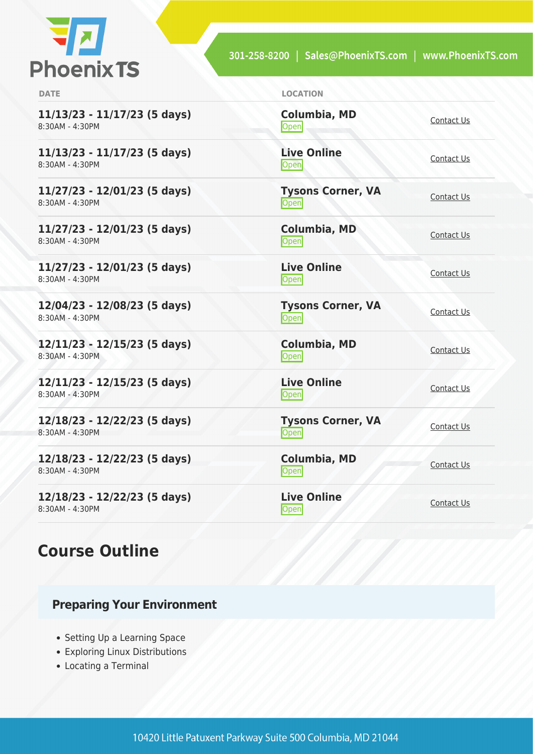

| <b>DATE</b>                                       | <b>LOCATION</b>                  |                   |
|---------------------------------------------------|----------------------------------|-------------------|
| $11/13/23 - 11/17/23$ (5 days)<br>8:30AM - 4:30PM | Columbia, MD<br>Open             | Contact Us        |
| $11/13/23 - 11/17/23$ (5 days)<br>8:30AM - 4:30PM | <b>Live Online</b><br>Open       | Contact Us        |
| 11/27/23 - 12/01/23 (5 days)<br>8:30AM - 4:30PM   | <b>Tysons Corner, VA</b><br>Open | Contact Us        |
| 11/27/23 - 12/01/23 (5 days)<br>8:30AM - 4:30PM   | <b>Columbia, MD</b><br>Open      | Contact Us        |
| $11/27/23 - 12/01/23$ (5 days)<br>8:30AM - 4:30PM | <b>Live Online</b><br>Open       | Contact Us        |
| 12/04/23 - 12/08/23 (5 days)<br>8:30AM - 4:30PM   | <b>Tysons Corner, VA</b><br>Open | <b>Contact Us</b> |
| $12/11/23 - 12/15/23$ (5 days)<br>8:30AM - 4:30PM | <b>Columbia, MD</b><br>Open      | Contact Us        |
| $12/11/23 - 12/15/23$ (5 days)<br>8:30AM - 4:30PM | <b>Live Online</b><br>Open       | <b>Contact Us</b> |
| 12/18/23 - 12/22/23 (5 days)<br>8:30AM - 4:30PM   | <b>Tysons Corner, VA</b><br>Open | <b>Contact Us</b> |
| 12/18/23 - 12/22/23 (5 days)<br>8:30AM - 4:30PM   | Columbia, MD<br>Open             | Contact Us        |
| 12/18/23 - 12/22/23 (5 days)<br>8:30AM - 4:30PM   | <b>Live Online</b><br>Open       | Contact Us        |

# **Course Outline**

### **Preparing Your Environment**

- Setting Up a Learning Space
- Exploring Linux Distributions
- Locating a Terminal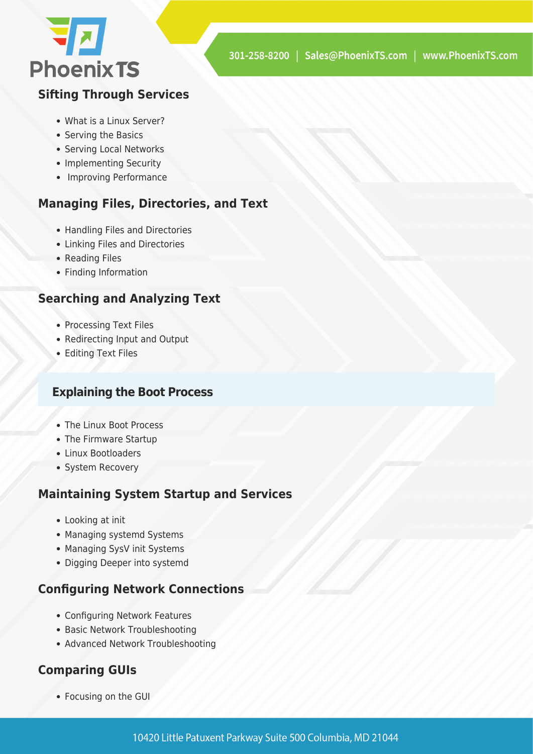

#### **Sifting Through Services**

- What is a Linux Server?
- Serving the Basics
- Serving Local Networks
- Implementing Security
- Improving Performance

#### **Managing Files, Directories, and Text**

- Handling Files and Directories
- Linking Files and Directories
- Reading Files
- Finding Information

#### **Searching and Analyzing Text**

- Processing Text Files
- Redirecting Input and Output
- Editing Text Files

#### **Explaining the Boot Process**

- The Linux Boot Process
- The Firmware Startup
- Linux Bootloaders
- System Recovery

#### **Maintaining System Startup and Services**

- Looking at init
- Managing systemd Systems
- Managing SysV init Systems
- Digging Deeper into systemd

#### **Configuring Network Connections**

- Configuring Network Features
- Basic Network Troubleshooting
- Advanced Network Troubleshooting

#### **Comparing GUIs**

Focusing on the GUI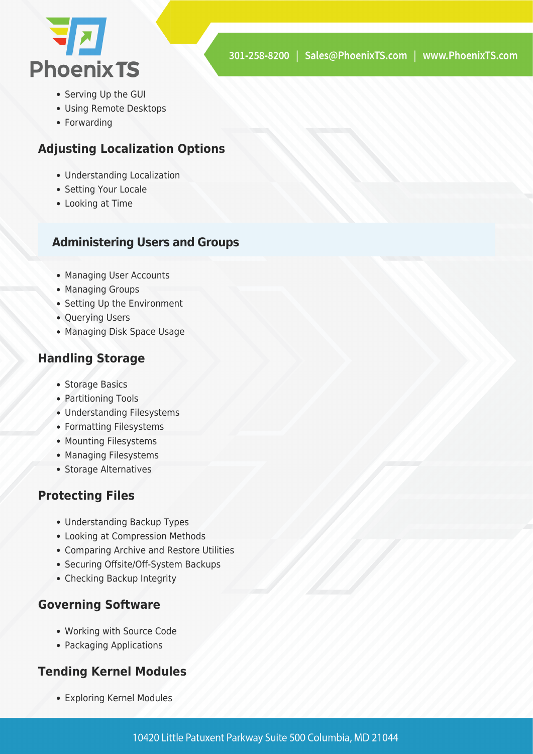

- Serving Up the GUI
- Using Remote Desktops
- Forwarding

#### **Adjusting Localization Options**

- Understanding Localization
- Setting Your Locale
- Looking at Time

#### **Administering Users and Groups**

- Managing User Accounts
- Managing Groups
- Setting Up the Environment
- Querying Users
- Managing Disk Space Usage

#### **Handling Storage**

- Storage Basics
- Partitioning Tools
- Understanding Filesystems
- Formatting Filesystems
- Mounting Filesystems
- Managing Filesystems
- Storage Alternatives

#### **Protecting Files**

- Understanding Backup Types
- Looking at Compression Methods
- Comparing Archive and Restore Utilities
- Securing Offsite/Off-System Backups
- Checking Backup Integrity

#### **Governing Software**

- Working with Source Code
- Packaging Applications

#### **Tending Kernel Modules**

Exploring Kernel Modules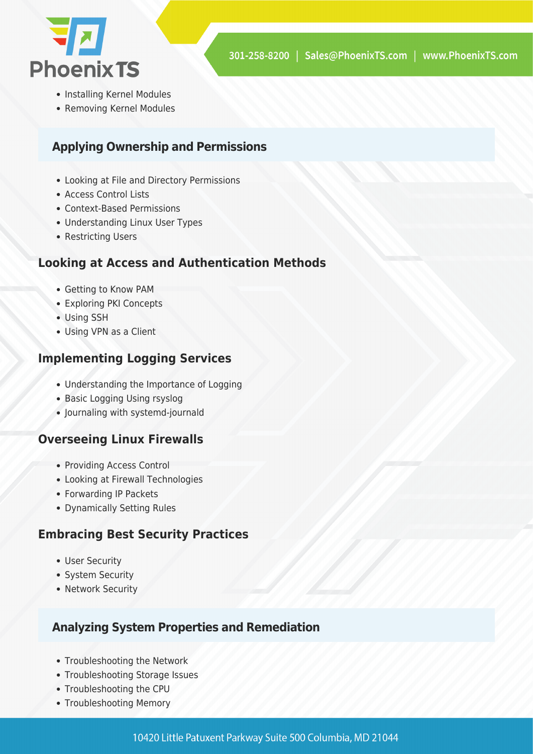

- Installing Kernel Modules
- Removing Kernel Modules

#### **Applying Ownership and Permissions**

- Looking at File and Directory Permissions
- Access Control Lists
- Context-Based Permissions
- Understanding Linux User Types
- Restricting Users

#### **Looking at Access and Authentication Methods**

- Getting to Know PAM
- Exploring PKI Concepts
- Using SSH
- Using VPN as a Client

#### **Implementing Logging Services**

- Understanding the Importance of Logging
- Basic Logging Using rsyslog
- Journaling with systemd-journald

#### **Overseeing Linux Firewalls**

- Providing Access Control
- Looking at Firewall Technologies
- Forwarding IP Packets
- Dynamically Setting Rules

#### **Embracing Best Security Practices**

- User Security
- System Security
- Network Security

#### **Analyzing System Properties and Remediation**

- Troubleshooting the Network
- Troubleshooting Storage Issues
- Troubleshooting the CPU
- Troubleshooting Memory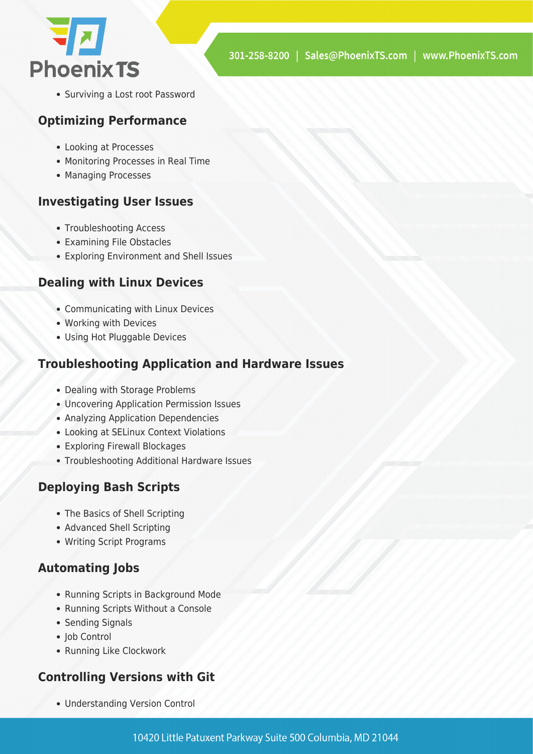

• Surviving a Lost root Password

#### **Optimizing Performance**

- Looking at Processes
- Monitoring Processes in Real Time
- Managing Processes

#### **Investigating User Issues**

- Troubleshooting Access
- Examining File Obstacles
- Exploring Environment and Shell Issues

#### **Dealing with Linux Devices**

- Communicating with Linux Devices
- Working with Devices
- Using Hot Pluggable Devices

#### **Troubleshooting Application and Hardware Issues**

- Dealing with Storage Problems
- Uncovering Application Permission Issues
- Analyzing Application Dependencies
- Looking at SELinux Context Violations
- Exploring Firewall Blockages
- Troubleshooting Additional Hardware Issues

#### **Deploying Bash Scripts**

- The Basics of Shell Scripting
- Advanced Shell Scripting
- Writing Script Programs

#### **Automating Jobs**

- Running Scripts in Background Mode
- Running Scripts Without a Console
- Sending Signals
- Iob Control
- Running Like Clockwork

#### **Controlling Versions with Git**

Understanding Version Control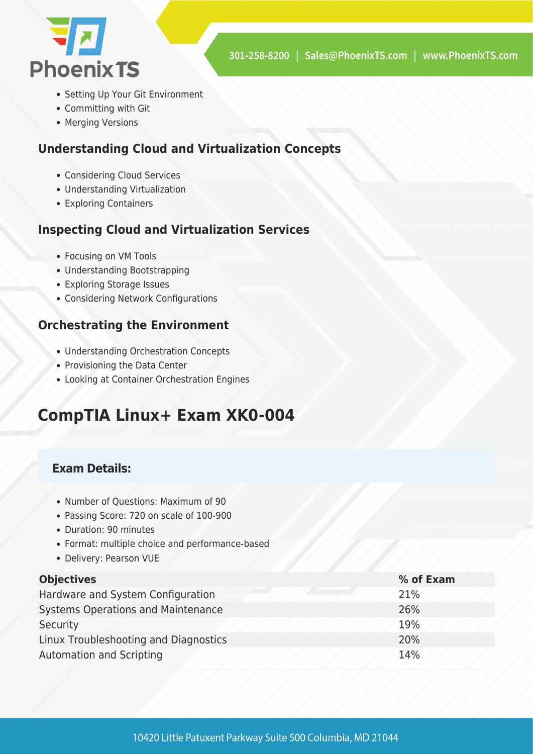

- Setting Up Your Git Environment
- Committing with Git
- Merging Versions

#### **Understanding Cloud and Virtualization Concepts**

- Considering Cloud Services
- Understanding Virtualization
- Exploring Containers

#### **Inspecting Cloud and Virtualization Services**

- Focusing on VM Tools
- Understanding Bootstrapping
- Exploring Storage Issues
- Considering Network Configurations

#### **Orchestrating the Environment**

- Understanding Orchestration Concepts
- Provisioning the Data Center
- Looking at Container Orchestration Engines

# **CompTIA Linux+ Exam XK0-004**

#### **Exam Details:**

- Number of Questions: Maximum of 90
- Passing Score: 720 on scale of 100-900
- Duration: 90 minutes
- Format: multiple choice and performance-based
- Delivery: Pearson VUE

| <b>Objectives</b>                         | % of Exam |
|-------------------------------------------|-----------|
| Hardware and System Configuration         | 21%       |
| <b>Systems Operations and Maintenance</b> | 26%       |
| Security                                  | 19%       |
| Linux Troubleshooting and Diagnostics     | 20%       |
| <b>Automation and Scripting</b>           | 14%       |
|                                           |           |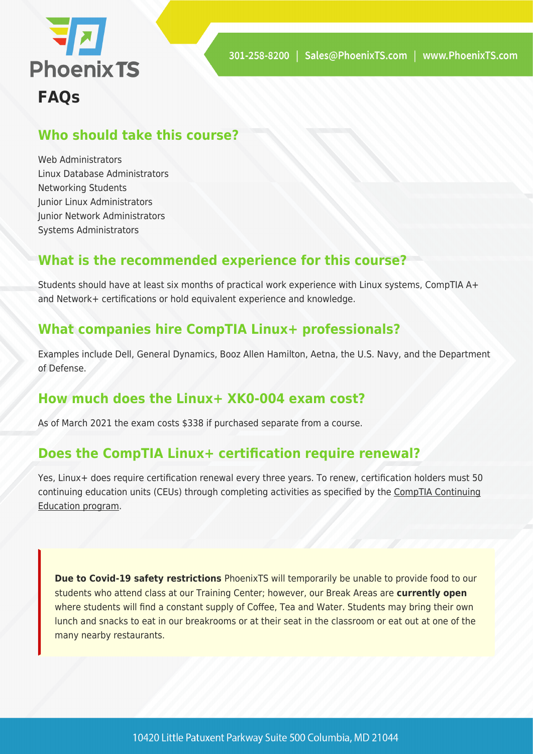

# **Who should take this course?**

Web Administrators Linux Database Administrators Networking Students Junior Linux Administrators Junior Network Administrators Systems Administrators

## **What is the recommended experience for this course?**

Students should have at least six months of practical work experience with Linux systems, CompTIA A+ and Network+ certifications or hold equivalent experience and knowledge.

## **What companies hire CompTIA Linux+ professionals?**

Examples include Dell, General Dynamics, Booz Allen Hamilton, Aetna, the U.S. Navy, and the Department of Defense.

### **How much does the Linux+ XK0-004 exam cost?**

As of March 2021 the exam costs \$338 if purchased separate from a course.

### **Does the CompTIA Linux+ certification require renewal?**

Yes, Linux+ does require certification renewal every three years. To renew, certification holders must 50 continuing education units (CEUs) through completing activities as specified by the [CompTIA Continuing](https://www.comptia.org/continuing-education) [Education program](https://www.comptia.org/continuing-education).

**Due to Covid-19 safety restrictions** PhoenixTS will temporarily be unable to provide food to our students who attend class at our Training Center; however, our Break Areas are **currently open** where students will find a constant supply of Coffee, Tea and Water. Students may bring their own lunch and snacks to eat in our breakrooms or at their seat in the classroom or eat out at one of the many nearby restaurants.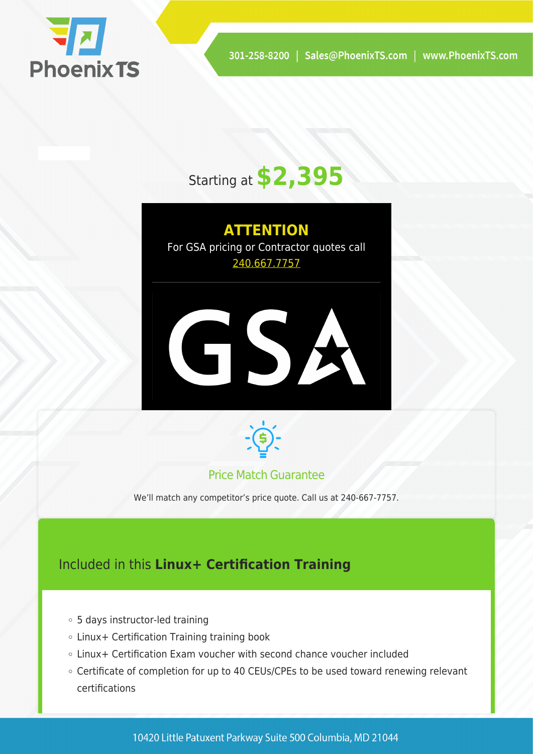

# Starting at **\$2,395**

# **ATTENTION**

For GSA pricing or Contractor quotes call [240.667.7757](#page--1-0)





#### Price Match Guarantee

We'll match any competitor's price quote. Call us at 240-667-7757.

# Included in this **Linux+ Certification Training**

- 5 days instructor-led training
- Linux+ Certification Training training book
- Linux+ Certification Exam voucher with second chance voucher included
- Certificate of completion for up to 40 CEUs/CPEs to be used toward renewing relevant certifications

10420 Little Patuxent Parkway Suite 500 Columbia, MD 21044